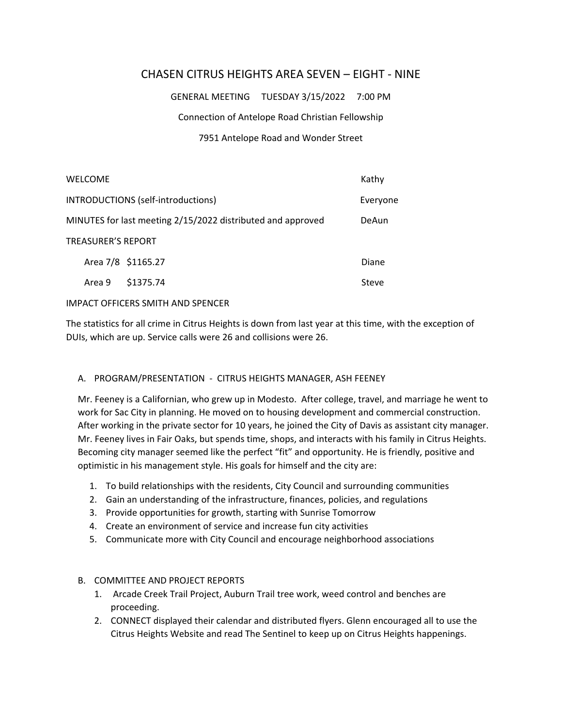# CHASEN CITRUS HEIGHTS AREA SEVEN – EIGHT ‐ NINE

GENERAL MEETING TUESDAY 3/15/2022 7:00 PM

Connection of Antelope Road Christian Fellowship

### 7951 Antelope Road and Wonder Street

|                                                             | <b>WELCOME</b> |                    | Kathy    |
|-------------------------------------------------------------|----------------|--------------------|----------|
| INTRODUCTIONS (self-introductions)                          |                |                    | Everyone |
| MINUTES for last meeting 2/15/2022 distributed and approved |                |                    | DeAun    |
| TREASURER'S REPORT                                          |                |                    |          |
|                                                             |                | Area 7/8 \$1165.27 | Diane    |
|                                                             | Area 9         | \$1375.74          | Steve    |

#### IMPACT OFFICERS SMITH AND SPENCER

The statistics for all crime in Citrus Heights is down from last year at this time, with the exception of DUIs, which are up. Service calls were 26 and collisions were 26.

## A. PROGRAM/PRESENTATION - CITRUS HEIGHTS MANAGER, ASH FEENEY

Mr. Feeney is a Californian, who grew up in Modesto. After college, travel, and marriage he went to work for Sac City in planning. He moved on to housing development and commercial construction. After working in the private sector for 10 years, he joined the City of Davis as assistant city manager. Mr. Feeney lives in Fair Oaks, but spends time, shops, and interacts with his family in Citrus Heights. Becoming city manager seemed like the perfect "fit" and opportunity. He is friendly, positive and optimistic in his management style. His goals for himself and the city are:

- 1. To build relationships with the residents, City Council and surrounding communities
- 2. Gain an understanding of the infrastructure, finances, policies, and regulations
- 3. Provide opportunities for growth, starting with Sunrise Tomorrow
- 4. Create an environment of service and increase fun city activities
- 5. Communicate more with City Council and encourage neighborhood associations

## B. COMMITTEE AND PROJECT REPORTS

- 1. Arcade Creek Trail Project, Auburn Trail tree work, weed control and benches are proceeding.
- 2. CONNECT displayed their calendar and distributed flyers. Glenn encouraged all to use the Citrus Heights Website and read The Sentinel to keep up on Citrus Heights happenings.